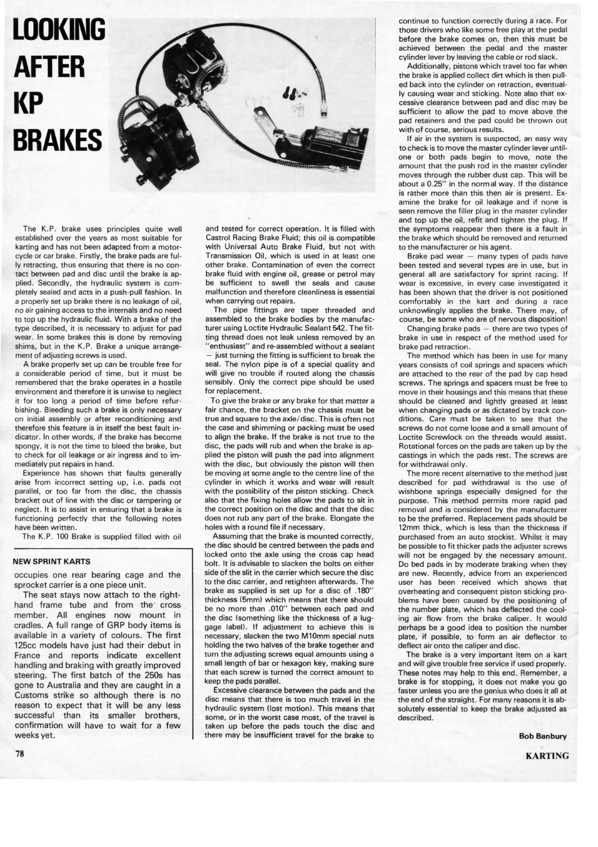## **LOOKING AFTER KP BRAKES**



The K.P. brake uses principles quite well established over the years as most suitable for karting and has not been adapted from a motorcycle or car brake. Firstly, the brake pads are fully retracting, thus ensuring that there is no contact between pad and disc until the brake is applied. Secondly, the hydraulic system is completely sealed and acts in a push-pull fashion. In a properly set up brake there is no leakage of oil, no air gaining access to the internals and no need to top up the hydraulic fluid. With a brake of the type described, it is necessary to adjust for pad wear. In some brakes this is done by removing shims, but in the K.P. Brake a unique arrangement of adjusting screws is used.

A brake properly set up can be trouble free for a considerable period of time, but it must be remembered that the brake operates in a hostile environment and therefore it is unwise to neglect it for too long a period of time before refurbishing. Bleeding such a brake is only necessary on initial assembly or after reconditioning and therefore this feature is in itself the best fault indicator. In other words, if the brake has become spongy, it is not the time to bleed the brake, but to check for oil leakage or air ingress and to immediately put repairs in hand.

Experience has shown that faults generally arise from incorrect setting up, i.e. pads not parallel, or too far from the disc, the chassis bracket out of line with the disc or tampering or neglect. It is to assist in ensuring that a brake is functioning perfectly that the following notes have been written.

The K.P. 100 Brake is supplied filled with oil

## **NEW SPRINT KARTS**

occupies one rear bearing cage and the sprocket carrier is a one piece unit.

The seat stays now attach to the righthand frame tube and from the cross member. All engines now mount in cradles. A full range of GRP body items is available in a variety of colours. The first 125cc models have just had their debut in France and reports indicate excellent handling and braking with greatly improved steering. The first batch of the 250s has gone to Australia and they are caught in a Customs strike so although there is no reason to expect that it will be any less successful than its smaller brothers, confirmation will have to wait for a few weeks yet.

and tested for correct operation. It is filled with Castrol Racing Brake Fluid; this oil is compatible with Universal Auto Brake Fluid, but not with Transmission Oil, which is used in at least one other brake. Contamination of even the correct brake fluid with engine oil, grease or petrol may be sufficient to swell the seals and cause malfunction and therefore cleanliness is essential when carrying out repairs.

The pipe fittings are taper threaded and assembled to the brake bodies by the manufacturer using Loctite Hydraulic Sealant 542. The fitting thread does not leak unless removed by an 'enthusiast'' and re-assembled without a sealant - just turning the fitting is sufficient to break the seal. The nylon pipe is of a special quality and will give no trouble if routed along the chassis sensibly. Only the correct pipe should be used for replacement.

To give the brake or any brake for that matter a fair chance, the bracket on the chassis must be true and square to the axle/disc. This is often not the case and shimming or packing must be used to align the brake. If the brake is not true to the disc, the pads will rub and when the brake is applied the piston will push the pad into alignment with the disc, but obviously the piston will then be moving at some angle to the centre line of the cylinder in which it works and wear will result with the possibility of the piston sticking. Check also that the fixing holes allow the pads to sit in the correct position on the disc and that the disc does not rub any part of the brake. Elongate the holes with a round file if necessary.

Assuming that the brake is mounted correctly, the disc should be centred between the pads and locked onto the axle using the cross cap head bolt. It is advisable to slacken the bolts on either side of the slit in the carrier which secure the disc to the disc carrier, and retighten afterwards. The brake as supplied is set up for a disc of .180" thickness (5mm) which means that there should be no more than .010" between each pad and the disc (something like the thickness of a luggage label). If adjustment to achieve this is necessary, slacken the two M10mm special nuts holding the two halves of the brake together and turn the adjusting screws equal amounts using a small length of bar or hexagon key, making sure that each screw is turned the correct amount to keep the pads parallel.

Excessive clearance between the pads and the disc means that there is too much travel in the hydraulic system (lost motion). This means that some, or in the worst case most, of the travel is taken up before the pads touch the disc and there may be insufficient travel for the brake to continue to function correctly during a race. For those drivers who like some free play at the pedal before the brake comes on, then this must be achieved between the pedal and the master cylinder lever by leaving the cable or rod slack.

Additionally, pistons which travel too far when the brake is applied collect dirt which is then pulled back into the cylinder on retraction, eventually causing wear and sticking. Note also that excessive clearance between pad and disc may be sufficient to allow the pad to move above the pad retainers and the pad could be thrown out with of course, serious results.

If air in the system is suspected, an easy way to check is to move the master cylinder lever untilone or both pads begin to move, note the amount that the push rod in the master cylinder moves through the rubber dust cap. This will be about a 0.25" in the normal way. If the distance is rather more than this then air is present. Examine the brake for oil leakage and if none is seen remove the filler plug in the master cylinder and top up the oil, refit and tighten the plug. If the symptoms reappear then there is a fault in the brake which should be removed and returned to the manufacturer or his agent.

Brake pad wear - many types of pads have been tested and several types are in use, but in general all are satisfactory for sprint racing. If wear is excessive, in every case investigated it has been shown that the driver is not positioned comfortably in the kart and during a race unknowlingly applies the brake. There may, of course, be some who are of nervous disposition!

Changing brake pads - there are two types of brake in use in respect of the method used for brake pad retraction.

The method which has been in use for many years consists of coil springs and spacers which are attached to the rear of the pad by cap head screws. The springs and spacers must be free to move in their housings and this means that these should be cleaned and lightly greased at least when changing pads or as dictated by track conditions. Care must be taken to see that the screws do not come loose and a small amount of Loctite Screwlock on the threads would assist. Rotational forces on the pads are taken up by the castings in which the pads rest. The screws are for withdrawal only.

The more recent alternative to the method just described for pad withdrawal is the use of wishbone springs especially designed for the purpose. This method permits more rapid pad removal and is considered by the manufacturer to be the preferred. Replacement pads should be 12mm thick, which is less than the thickness if purchased from an auto stockist. Whilst it may be possible to fit thicker pads the adjuster screws will not be engaged by the necessary amount. Do bed pads in by moderate braking when they are new. Recently, advice from an experienced user has been received which shows that overheating and consequent piston sticking problems have been caused by the positioning of the number plate, which has deflected the cooling air flow from the brake caliper. It would perhaps be a good idea to position the number plate, if possible, to form an air deflector to deflect air onto the caliper and disc.

The brake is a very important item on a kart and will give trouble free service if used properly. These notes may help to this end. Remember, a brake is for stopping, it does not make you go faster unless you are the genius who does it all at the end of the straight. For many reasons it is absolutely essential to keep the brake adjusted as described.

> **Bob Banbury KARTING**